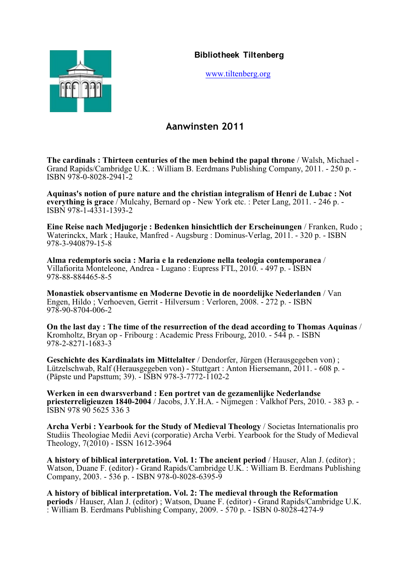

[www.tiltenberg.org](http://www.tiltenberg.org)

# **Aanwinsten 2011**

**The cardinals : Thirteen centuries of the men behind the papal throne** / Walsh, Michael - Grand Rapids/Cambridge U.K. : William B. Eerdmans Publishing Company, 2011. - 250 p. - ISBN 978-0-8028-2941-2

**Aquinas's notion of pure nature and the christian integralism of Henri de Lubac : Not everything is grace** / Mulcahy, Bernard op - New York etc. : Peter Lang, 2011. - 246 p. - ISBN 978-1-4331-1393-2

**Eine Reise nach Medjugorje : Bedenken hinsichtlich der Erscheinungen** / Franken, Rudo ; Waterinckx, Mark ; Hauke, Manfred - Augsburg : Dominus-Verlag, 2011. - 320 p. - ISBN 978-3-940879-15-8

**Alma redemptoris socia : Maria e la redenzione nella teologia contemporanea** / Villafiorita Monteleone, Andrea - Lugano : Eupress FTL, 2010. - 497 p. - ISBN 978-88-884465-8-5

**Monastiek observantisme en Moderne Devotie in de noordelijke Nederlanden** / Van Engen, Hildo ; Verhoeven, Gerrit - Hilversum : Verloren, 2008. - 272 p. - ISBN 978-90-8704-006-2

**On the last day : The time of the resurrection of the dead according to Thomas Aquinas** / Kromholtz, Bryan op - Fribourg : Academic Press Fribourg, 2010. - 544 p. - ISBN 978-2-8271-1683-3

**Geschichte des Kardinalats im Mittelalter** / Dendorfer, Jürgen (Herausgegeben von) ; Lützelschwab, Ralf (Herausgegeben von) - Stuttgart : Anton Hiersemann, 2011. - 608 p. - (Päpste und Papsttum; 39). - ISBN 978-3-7772-1102-2

**Werken in een dwarsverband : Een portret van de gezamenlijke Nederlandse priesterreligieuzen 1840-2004** / Jacobs, J.Y.H.A. - Nijmegen : Valkhof Pers, 2010. - 383 p. - ISBN 978 90 5625 336 3

**Archa Verbi : Yearbook for the Study of Medieval Theology** / Societas Internationalis pro Studiis Theologiae Medii Aevi (corporatie) Archa Verbi. Yearbook for the Study of Medieval Theology, 7(2010) - ISSN 1612-3964

**A history of biblical interpretation. Vol. 1: The ancient period** / Hauser, Alan J. (editor) ; Watson, Duane F. (editor) - Grand Rapids/Cambridge U.K. : William B. Eerdmans Publishing Company, 2003. - 536 p. - ISBN 978-0-8028-6395-9

**A history of biblical interpretation. Vol. 2: The medieval through the Reformation periods** / Hauser, Alan J. (editor) ; Watson, Duane F. (editor) - Grand Rapids/Cambridge U.K. : William B. Eerdmans Publishing Company, 2009. - 570 p. - ISBN 0-8028-4274-9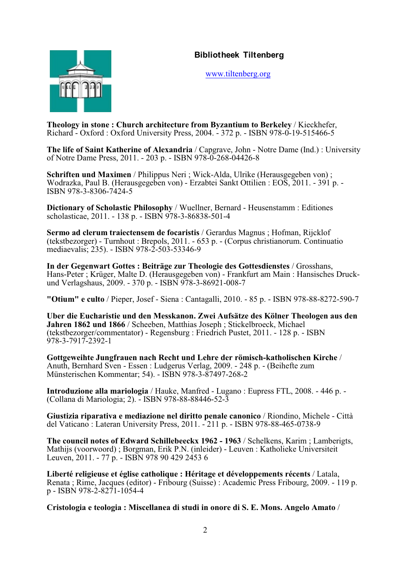

[www.tiltenberg.org](http://www.tiltenberg.org)

**Theology in stone : Church architecture from Byzantium to Berkeley** / Kieckhefer, Richard - Oxford : Oxford University Press, 2004. - 372 p. - ISBN 978-0-19-515466-5

**The life of Saint Katherine of Alexandria** / Capgrave, John - Notre Dame (Ind.) : University of Notre Dame Press, 2011. - 203 p. - ISBN 978-0-268-04426-8

**Schriften und Maximen** / Philippus Neri ; Wick-Alda, Ulrike (Herausgegeben von) ; Wodrazka, Paul B. (Herausgegeben von) - Erzabtei Sankt Ottilien : EOS, 2011. - 391 p. - ISBN 978-3-8306-7424-5

**Dictionary of Scholastic Philosophy** / Wuellner, Bernard - Heusenstamm : Editiones scholasticae, 2011. - 138 p. - ISBN 978-3-86838-501-4

**Sermo ad clerum traiectensem de focaristis** / Gerardus Magnus ; Hofman, Rijcklof (tekstbezorger) - Turnhout : Brepols, 2011. - 653 p. - (Corpus christianorum. Continuatio mediaevalis; 235). - ISBN 978-2-503-53346-9

**In der Gegenwart Gottes : Beiträge zur Theologie des Gottesdienstes** / Grosshans, Hans-Peter ; Krüger, Malte D. (Herausgegeben von) - Frankfurt am Main : Hansisches Druckund Verlagshaus, 2009. - 370 p. - ISBN 978-3-86921-008-7

**"Otium" e culto** / Pieper, Josef - Siena : Cantagalli, 2010. - 85 p. - ISBN 978-88-8272-590-7

**Uber die Eucharistie und den Messkanon. Zwei Aufsätze des Kölner Theologen aus den Jahren 1862 und 1866** / Scheeben, Matthias Joseph ; Stickelbroeck, Michael (tekstbezorger/commentator) - Regensburg : Friedrich Pustet, 2011. - 128 p. - ISBN 978-3-7917-2392-1

**Gottgeweihte Jungfrauen nach Recht und Lehre der römisch-katholischen Kirche** / Anuth, Bernhard Sven - Essen : Ludgerus Verlag, 2009. - 248 p. - (Beihefte zum Münsterischen Kommentar; 54). - ISBN 978-3-87497-268-2

**Introduzione alla mariologia** / Hauke, Manfred - Lugano : Eupress FTL, 2008. - 446 p. - (Collana di Mariologia; 2). - ISBN 978-88-88446-52-3

**Giustizia riparativa e mediazione nel diritto penale canonico** / Riondino, Michele - Città del Vaticano : Lateran University Press, 2011. - 211 p. - ISBN 978-88-465-0738-9

**The council notes of Edward Schillebeeckx 1962 - 1963** / Schelkens, Karim ; Lamberigts, Mathijs (voorwoord) ; Borgman, Erik P.N. (inleider) - Leuven : Katholieke Universiteit Leuven, 2011. - 77 p. - ISBN 978 90 429 2453 6

**Liberté religieuse et église catholique : Héritage et développements récents** / Latala, Renata ; Rime, Jacques (editor) - Fribourg (Suisse) : Academic Press Fribourg, 2009. - 119 p. p - ISBN 978-2-8271-1054-4

**Cristologia e teologia : Miscellanea di studi in onore di S. E. Mons. Angelo Amato** /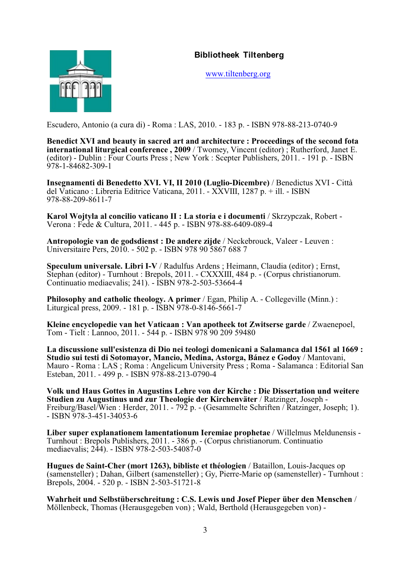

[www.tiltenberg.org](http://www.tiltenberg.org)

Escudero, Antonio (a cura di) - Roma : LAS, 2010. - 183 p. - ISBN 978-88-213-0740-9

**Benedict XVI and beauty in sacred art and architecture : Proceedings of the second fota international liturgical conference , 2009** / Twomey, Vincent (editor) ; Rutherford, Janet E. (editor) - Dublin : Four Courts Press ; New York : Scepter Publishers, 2011. - 191 p. - ISBN 978-1-84682-309-1

**Insegnamenti di Benedetto XVI. VI, II 2010 (Luglio-Dicembre)** / Benedictus XVI - Città del Vaticano : Libreria Editrice Vaticana, 2011. - XXVIII, 1287 p. + ill. - ISBN 978-88-209-8611-7

**Karol Wojtyla al concilio vaticano II : La storia e i documenti** / Skrzypczak, Robert - Verona : Fede & Cultura, 2011. - 445 p. - ISBN 978-88-6409-089-4

**Antropologie van de godsdienst : De andere zijde** / Neckebrouck, Valeer - Leuven : Universitaire Pers, 2010. - 502 p. - ISBN 978 90 5867 688 7

**Speculum universale. Libri I-V** / Radulfus Ardens ; Heimann, Claudia (editor) ; Ernst, Stephan (editor) - Turnhout : Brepols, 2011. - CXXXIII, 484 p. - (Corpus christianorum. Continuatio mediaevalis; 241). - ISBN 978-2-503-53664-4

**Philosophy and catholic theology. A primer / Egan, Philip A. - Collegeville (Minn.):** Liturgical press, 2009. - 181 p. - ISBN 978-0-8146-5661-7

**Kleine encyclopedie van het Vaticaan : Van apotheek tot Zwitserse garde** / Zwaenepoel, Tom - Tielt : Lannoo, 2011. - 544 p. - ISBN 978 90 209 59480

**La discussione sull'esistenza di Dio nei teologi domenicani a Salamanca dal 1561 al 1669 : Studio sui testi di Sotomayor, Mancio, Medina, Astorga, Bánez e Godoy** / Mantovani, Mauro - Roma : LAS ; Roma : Angelicum University Press ; Roma - Salamanca : Editorial San Esteban, 2011. - 499 p. - ISBN 978-88-213-0790-4

**Volk und Haus Gottes in Augustins Lehre von der Kirche : Die Dissertation und weitere Studien zu Augustinus und zur Theologie der Kirchenväter** / Ratzinger, Joseph - Freiburg/Basel/Wien : Herder, 2011. - 792 p. - (Gesammelte Schriften / Ratzinger, Joseph; 1). - ISBN 978-3-451-34053-6

**Liber super explanationem lamentationum Ieremiae prophetae** / Willelmus Meldunensis - Turnhout : Brepols Publishers, 2011. - 386 p. - (Corpus christianorum. Continuatio mediaevalis; 244). - ISBN 978-2-503-54087-0

**Hugues de Saint-Cher (mort 1263), bibliste et théologien** / Bataillon, Louis-Jacques op (samensteller) ; Dahan, Gilbert (samensteller) ; Gy, Pierre-Marie op (samensteller) - Turnhout : Brepols, 2004. - 520 p. - ISBN 2-503-51721-8

**Wahrheit und Selbstüberschreitung : C.S. Lewis und Josef Pieper über den Menschen** / Möllenbeck, Thomas (Herausgegeben von) ; Wald, Berthold (Herausgegeben von) -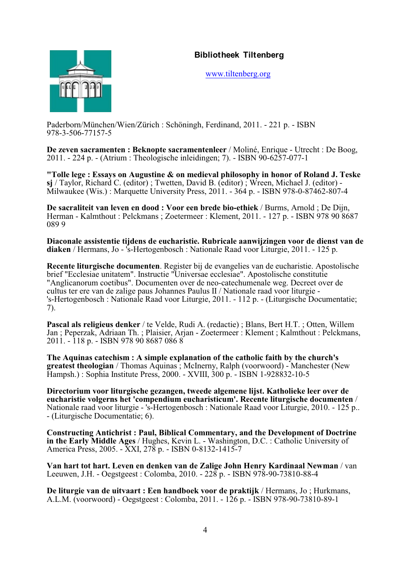

[www.tiltenberg.org](http://www.tiltenberg.org)

Paderborn/München/Wien/Zürich : Schöningh, Ferdinand, 2011. - 221 p. - ISBN 978-3-506-77157-5

**De zeven sacramenten : Beknopte sacramentenleer** / Moliné, Enrique - Utrecht : De Boog, 2011. - 224 p. - (Atrium : Theologische inleidingen; 7). - ISBN 90-6257-077-1

**"Tolle lege : Essays on Augustine & on medieval philosophy in honor of Roland J. Teske sj** / Taylor, Richard C. (editor) ; Twetten, David B. (editor) ; Wreen, Michael J. (editor) - Milwaukee (Wis.) : Marquette University Press, 2011. - 364 p. - ISBN 978-0-87462-807-4

**De sacraliteit van leven en dood : Voor een brede bio-ethiek** / Burms, Arnold ; De Dijn, Herman - Kalmthout : Pelckmans ; Zoetermeer : Klement, 2011. - 127 p. - ISBN 978 90 8687 089 9

**Diaconale assistentie tijdens de eucharistie. Rubricale aanwijzingen voor de dienst van de diaken** / Hermans, Jo - 's-Hertogenbosch : Nationale Raad voor Liturgie, 2011. - 125 p.

**Recente liturgische documenten**. Register bij de evangelies van de eucharistie. Apostolische brief "Ecclesiae unitatem". Instructie "Universae ecclesiae". Apostolische constitutie "Anglicanorum coetibus". Documenten over de neo-catechumenale weg. Decreet over de cultus ter ere van de zalige paus Johannes Paulus II / Nationale raad voor liturgie - 's-Hertogenbosch : Nationale Raad voor Liturgie, 2011. - 112 p. - (Liturgische Documentatie; 7).

**Pascal als religieus denker** / te Velde, Rudi A. (redactie) ; Blans, Bert H.T. ; Otten, Willem Jan ; Peperzak, Adriaan Th. ; Plaisier, Arjan - Zoetermeer : Klement ; Kalmthout : Pelckmans, 2011. - 118 p. - ISBN 978 90 8687 086 8

**The Aquinas catechism : A simple explanation of the catholic faith by the church's greatest theologian** / Thomas Aquinas ; McInerny, Ralph (voorwoord) - Manchester (New Hampsh.) : Sophia Institute Press, 2000. - XVIII, 300 p. - ISBN 1-928832-10-5

**Directorium voor liturgische gezangen, tweede algemene lijst. Katholieke leer over de eucharistie volgerns het 'compendium eucharisticum'. Recente liturgische documenten** / Nationale raad voor liturgie - 's-Hertogenbosch : Nationale Raad voor Liturgie, 2010. - 125 p.. - (Liturgische Documentatie; 6).

**Constructing Antichrist : Paul, Biblical Commentary, and the Development of Doctrine in the Early Middle Ages** / Hughes, Kevin L. - Washington, D.C. : Catholic University of America Press, 2005. - XXI, 278 p. - ISBN 0-8132-1415-7

**Van hart tot hart. Leven en denken van de Zalige John Henry Kardinaal Newman** / van Leeuwen, J.H. - Oegstgeest : Colomba, 2010. - 228 p. - ISBN 978-90-73810-88-4

**De liturgie van de uitvaart : Een handboek voor de praktijk** / Hermans, Jo ; Hurkmans, A.L.M. (voorwoord) - Oegstgeest : Colomba, 2011. - 126 p. - ISBN 978-90-73810-89-1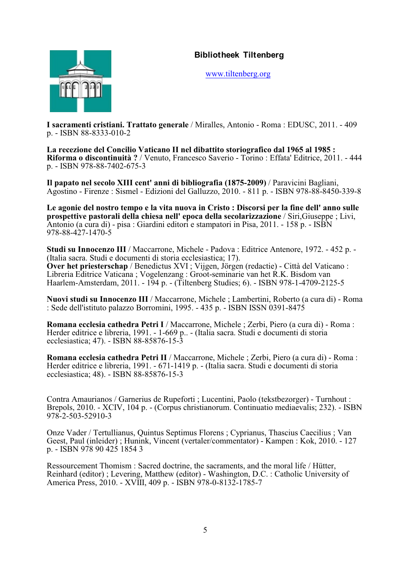

[www.tiltenberg.org](http://www.tiltenberg.org)

**I sacramenti cristiani. Trattato generale** / Miralles, Antonio - Roma : EDUSC, 2011. - 409 p. - ISBN 88-8333-010-2

**La recezione del Concilio Vaticano II nel dibattito storiografico dal 1965 al 1985 : Riforma o discontinuità ?** / Venuto, Francesco Saverio - Torino : Effata' Editrice, 2011. - 444 p. - ISBN 978-88-7402-675-3

**Il papato nel secolo XIII cent' anni di bibliografia (1875-2009)** / Paravicini Bagliani, Agostino - Firenze : Sismel - Edizioni del Galluzzo, 2010. - 811 p. - ISBN 978-88-8450-339-8

**Le agonie del nostro tempo e la vita nuova in Cristo : Discorsi per la fine dell' anno sulle prospettive pastorali della chiesa nell' epoca della secolarizzazione** / Siri,Giuseppe ; Livi, Antonio (a cura di) - pisa : Giardini editori e stampatori in Pisa, 2011. - 158 p. - ISBN 978-88-427-1470-5

**Studi su Innocenzo III** / Maccarrone, Michele - Padova : Editrice Antenore, 1972. - 452 p. - (Italia sacra. Studi e documenti di storia ecclesiastica; 17). **Over het priesterschap** / Benedictus XVI ; Vijgen, Jörgen (redactie) - Città del Vaticano : Libreria Editrice Vaticana ; Vogelenzang : Groot-seminarie van het R.K. Bisdom van Haarlem-Amsterdam, 2011. - 194 p. - (Tiltenberg Studies; 6). - ISBN 978-1-4709-2125-5

**Nuovi studi su Innocenzo III** / Maccarrone, Michele ; Lambertini, Roberto (a cura di) - Roma : Sede dell'istituto palazzo Borromini, 1995. - 435 p. - ISBN ISSN 0391-8475

**Romana ecclesia cathedra Petri I** / Maccarrone, Michele ; Zerbi, Piero (a cura di) - Roma : Herder editrice e libreria, 1991. - 1-669 p.. - (Italia sacra. Studi e documenti di storia ecclesiastica; 47). - ISBN 88-85876-15-3

**Romana ecclesia cathedra Petri II** / Maccarrone, Michele ; Zerbi, Piero (a cura di) - Roma : Herder editrice e libreria, 1991. - 671-1419 p. - (Italia sacra. Studi e documenti di storia ecclesiastica; 48). - ISBN 88-85876-15-3

Contra Amaurianos / Garnerius de Rupeforti ; Lucentini, Paolo (tekstbezorger) - Turnhout : Brepols, 2010. - XCIV, 104 p. - (Corpus christianorum. Continuatio mediaevalis; 232). - ISBN 978-2-503-52910-3

Onze Vader / Tertullianus, Quintus Septimus Florens ; Cyprianus, Thascius Caecilius ; Van Geest, Paul (inleider) ; Hunink, Vincent (vertaler/commentator) - Kampen : Kok, 2010. - 127 p. - ISBN 978 90 425 1854 3

Ressourcement Thomism : Sacred doctrine, the sacraments, and the moral life / Hütter, Reinhard (editor) ; Levering, Matthew (editor) - Washington, D.C. : Catholic University of America Press, 2010. - XVIII, 409 p. - ISBN 978-0-8132-1785-7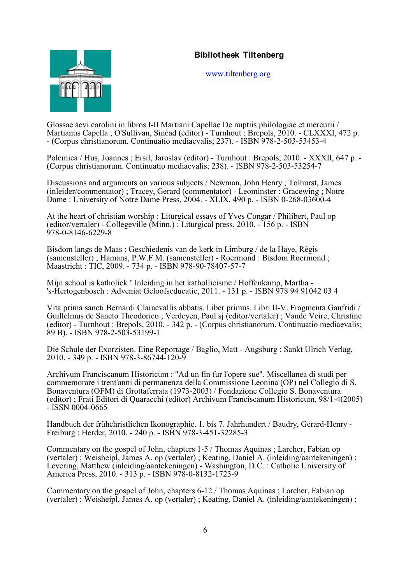

[www.tiltenberg.org](http://www.tiltenberg.org)

Glossae aevi carolini in libros I-II Martiani Capellae De nuptiis philologiae et mercurii / Martianus Capella ; O'Sullivan, Sinéad (editor) - Turnhout : Brepols, 2010. - CLXXXI, 472 p. - (Corpus christianorum. Continuatio mediaevalis; 237). - ISBN 978-2-503-53453-4

Polemica / Hus, Joannes ; Ersil, Jaroslav (editor) - Turnhout : Brepols, 2010. - XXXII, 647 p. - (Corpus christianorum. Continuatio mediaevalis; 238). - ISBN 978-2-503-53254-7

Discussions and arguments on various subjects / Newman, John Henry ; Tolhurst, James (inleider/commentator) ; Tracey, Gerard (commentator) - Leominster : Gracewing ; Notre Dame : University of Notre Dame Press, 2004. - XLIX, 490 p. - ISBN 0-268-03600-4

At the heart of christian worship : Liturgical essays of Yves Congar / Philibert, Paul op (editor/vertaler) - Collegeville (Minn.) : Liturgical press, 2010. - 156 p. - ISBN 978-0-8146-6229-8

Bisdom langs de Maas : Geschiedenis van de kerk in Limburg / de la Haye, Régis (samensteller) ; Hamans, P.W.F.M. (samensteller) - Roermond : Bisdom Roermond ; Maastricht : TIC, 2009. - 734 p. - ISBN 978-90-78407-57-7

Mijn school is katholiek ! Inleiding in het kathollicisme / Hoffenkamp, Martha - 's-Hertogenbosch : Adveniat Geloofseducatie, 2011. - 131 p. - ISBN 978 94 91042 03 4

Vita prima sancti Bernardi Claraevallis abbatis. Liber primus. Libri II-V. Fragmenta Gaufridi / Guillelmus de Sancto Theodorico ; Verdeyen, Paul sj (editor/vertaler) ; Vande Veire, Christine (editor) - Turnhout : Brepols, 2010. - 342 p. - (Corpus christianorum. Continuatio mediaevalis; 89 B). - ISBN 978-2-503-53199-1

Die Schule der Exorzisten. Eine Reportage / Baglio, Matt - Augsburg : Sankt Ulrich Verlag, 2010. - 349 p. - ISBN 978-3-86744-120-9

Archivum Franciscanum Historicum : "Ad un fin fur l'opere sue". Miscellanea di studi per commemorare i trent'anni di permanenza della Commissione Leonina (OP) nel Collegio di S. Bonaventura (OFM) di Grottaferrata (1973-2003) / Fondazione Collegio S. Bonaventura (editor) ; Frati Editori di Quaracchi (editor) Archivum Franciscanum Historicum, 98/1-4(2005)  $-$  ISSN 0004-0665

Handbuch der frühchristlichen Ikonographie. 1. bis 7. Jahrhundert / Baudry, Gérard-Henry - Freiburg : Herder, 2010. - 240 p. - ISBN 978-3-451-32285-3

Commentary on the gospel of John, chapters 1-5 / Thomas Aquinas ; Larcher, Fabian op (vertaler) ; Weisheipl, James A. op (vertaler) ; Keating, Daniel A. (inleiding/aantekeningen) ; Levering, Matthew (inleiding/aantekeningen) - Washington, D.C. : Catholic University of America Press, 2010. - 313 p. - ISBN 978-0-8132-1723-9

Commentary on the gospel of John, chapters 6-12 / Thomas Aquinas ; Larcher, Fabian op (vertaler) ; Weisheipl, James A. op (vertaler) ; Keating, Daniel A. (inleiding/aantekeningen) ;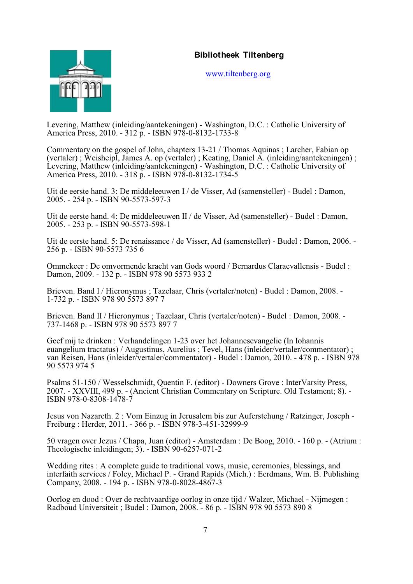

[www.tiltenberg.org](http://www.tiltenberg.org)

Levering, Matthew (inleiding/aantekeningen) - Washington, D.C. : Catholic University of America Press, 2010. - 312 p. - ISBN 978-0-8132-1733-8

Commentary on the gospel of John, chapters 13-21 / Thomas Aquinas ; Larcher, Fabian op (vertaler) ; Weisheipl, James A. op (vertaler) ; Keating, Daniel A. (inleiding/aantekeningen) ; Levering, Matthew (inleiding/aantekeningen) - Washington, D.C. : Catholic University of America Press, 2010. - 318 p. - ISBN 978-0-8132-1734-5

Uit de eerste hand. 3: De middeleeuwen I / de Visser, Ad (samensteller) - Budel : Damon, 2005. - 254 p. - ISBN 90-5573-597-3

Uit de eerste hand. 4: De middeleeuwen II / de Visser, Ad (samensteller) - Budel : Damon, 2005. - 253 p. - ISBN 90-5573-598-1

Uit de eerste hand. 5: De renaissance / de Visser, Ad (samensteller) - Budel : Damon, 2006. - 256 p. - ISBN 90-5573 735 6

Ommekeer : De omvormende kracht van Gods woord / Bernardus Claraevallensis - Budel : Damon, 2009. - 132 p. - ISBN 978 90 5573 933 2

Brieven. Band I / Hieronymus ; Tazelaar, Chris (vertaler/noten) - Budel : Damon, 2008. -1-732 p. - ISBN 978 90 5573 897 7

Brieven. Band II / Hieronymus ; Tazelaar, Chris (vertaler/noten) - Budel : Damon, 2008. - 737-1468 p. - ISBN 978 90 5573 897 7

Geef mij te drinken : Verhandelingen 1-23 over het Johannesevangelie (In Iohannis euangelium tractatus) / Augustinus, Aurelius ; Tevel, Hans (inleider/vertaler/commentator) ; van Reisen, Hans (inleider/vertaler/commentator) - Budel : Damon, 2010. - 478 p. - ISBN 978 90 5573 974 5

Psalms 51-150 / Wesselschmidt, Quentin F. (editor) - Downers Grove : InterVarsity Press, 2007. - XXVIII, 499 p. - (Ancient Christian Commentary on Scripture. Old Testament; 8). - ISBN 978-0-8308-1478-7

Jesus von Nazareth. 2 : Vom Einzug in Jerusalem bis zur Auferstehung / Ratzinger, Joseph - Freiburg : Herder, 2011. - 366 p. - ISBN 978-3-451-32999-9

50 vragen over Jezus / Chapa, Juan (editor) - Amsterdam : De Boog, 2010. - 160 p. - (Atrium : Theologische inleidingen; 3). - ISBN 90-6257-071-2

Wedding rites : A complete guide to traditional vows, music, ceremonies, blessings, and interfaith services / Foley, Michael P. - Grand Rapids (Mich.) : Eerdmans, Wm. B. Publishing Company, 2008. - 194 p. - ISBN 978-0-8028-4867-3

Oorlog en dood : Over de rechtvaardige oorlog in onze tijd / Walzer, Michael - Nijmegen : Radboud Universiteit ; Budel : Damon, 2008. - 86 p. - ISBN 978 90 5573 890 8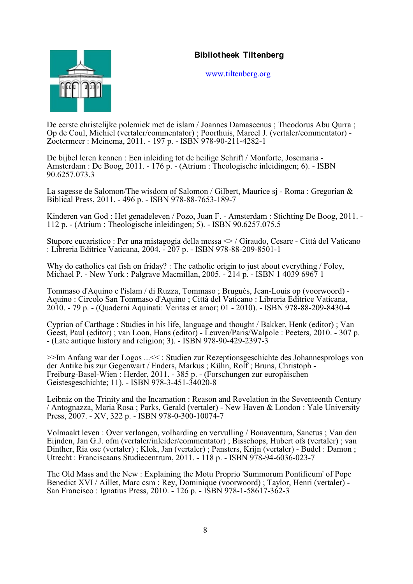

[www.tiltenberg.org](http://www.tiltenberg.org)

De eerste christelijke polemiek met de islam / Joannes Damascenus ; Theodorus Abu Qurra ; Op de Coul, Michiel (vertaler/commentator) ; Poorthuis, Marcel J. (vertaler/commentator) - Zoetermeer : Meinema, 2011. - 197 p. - ISBN 978-90-211-4282-1

De bijbel leren kennen : Een inleiding tot de heilige Schrift / Monforte, Josemaria - Amsterdam : De Boog, 2011. - 176 p. - (Atrium : Theologische inleidingen; 6). - ISBN 90.6257.073.3

La sagesse de Salomon/The wisdom of Salomon / Gilbert, Maurice sj - Roma : Gregorian & Biblical Press, 2011. - 496 p. - ISBN 978-88-7653-189-7

Kinderen van God : Het genadeleven / Pozo, Juan F. - Amsterdam : Stichting De Boog, 2011. - 112 p. - (Atrium : Theologische inleidingen; 5). - ISBN 90.6257.075.5

Stupore eucaristico : Per una mistagogia della messa  $\leq$  / Giraudo, Cesare - Città del Vaticano : Libreria Editrice Vaticana, 2004. - 207 p. - ISBN 978-88-209-8501-1

Why do catholics eat fish on friday? : The catholic origin to just about everything / Foley, Michael P. - New York : Palgrave Macmillan, 2005. - 214 p. - ISBN 1 4039 6967 1

Tommaso d'Aquino e l'islam / di Ruzza, Tommaso ; Bruguès, Jean-Louis op (voorwoord) - Aquino : Circolo San Tommaso d'Aquino ; Città del Vaticano : Libreria Editrice Vaticana, 2010. - 79 p. - (Quaderni Aquinati: Veritas et amor; 01 - 2010). - ISBN 978-88-209-8430-4

Cyprian of Carthage : Studies in his life, language and thought / Bakker, Henk (editor) ; Van Geest, Paul (editor) ; van Loon, Hans (editor) - Leuven/Paris/Walpole : Peeters, 2010. - 307 p. - (Late antique history and religion; 3). - ISBN 978-90-429-2397-3

>>Im Anfang war der Logos ...<< : Studien zur Rezeptionsgeschichte des Johannesprologs von der Antike bis zur Gegenwart / Enders, Markus ; Kühn, Rolf ; Bruns, Christoph - Freiburg-Basel-Wien : Herder, 2011. - 385 p. - (Forschungen zur europäischen Geistesgeschichte; 11). - ISBN 978-3-451-34020-8

Leibniz on the Trinity and the Incarnation : Reason and Revelation in the Seventeenth Century / Antognazza, Maria Rosa ; Parks, Gerald (vertaler) - New Haven & London : Yale University Press, 2007. - XV, 322 p. - ISBN 978-0-300-10074-7

Volmaakt leven : Over verlangen, volharding en vervulling / Bonaventura, Sanctus ; Van den Eijnden, Jan G.J. ofm (vertaler/inleider/commentator) ; Bisschops, Hubert ofs (vertaler) ; van Dinther, Ria osc (vertaler) ; Klok, Jan (vertaler) ; Pansters, Krijn (vertaler) - Budel : Damon ; Utrecht : Franciscaans Studiecentrum, 2011. - 118 p. - ISBN 978-94-6036-023-7

The Old Mass and the New : Explaining the Motu Proprio 'Summorum Pontificum' of Pope Benedict XVI / Aillet, Marc csm ; Rey, Dominique (voorwoord) ; Taylor, Henri (vertaler) - San Francisco : Ignatius Press, 2010. - 126 p. - ISBN 978-1-58617-362-3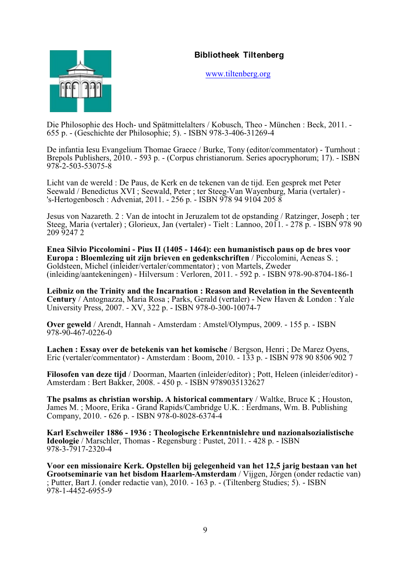

[www.tiltenberg.org](http://www.tiltenberg.org)

Die Philosophie des Hoch- und Spätmittelalters / Kobusch, Theo - München : Beck, 2011. - 655 p. - (Geschichte der Philosophie; 5). - ISBN 978-3-406-31269-4

De infantia Iesu Evangelium Thomae Graece / Burke, Tony (editor/commentator) - Turnhout : Brepols Publishers, 2010. - 593 p. - (Corpus christianorum. Series apocryphorum; 17). - ISBN 978-2-503-53075-8

Licht van de wereld : De Paus, de Kerk en de tekenen van de tijd. Een gesprek met Peter Seewald / Benedictus XVI ; Seewald, Peter ; ter Steeg-Van Wayenburg, Maria (vertaler) - 's-Hertogenbosch : Adveniat, 2011. - 256 p. - ISBN 978 94 9104 205 8

Jesus von Nazareth. 2 : Van de intocht in Jeruzalem tot de opstanding / Ratzinger, Joseph ; ter Steeg, Maria (vertaler) ; Glorieux, Jan (vertaler) - Tielt : Lannoo, 2011. - 278 p. - ISBN 978 90 209 9247 2

**Enea Silvio Piccolomini - Pius II (1405 - 1464): een humanistisch paus op de bres voor Europa : Bloemlezing uit zijn brieven en gedenkschriften** / Piccolomini, Aeneas S. ; Goldsteen, Michel (inleider/vertaler/commentator) ; von Martels, Zweder (inleiding/aantekeningen) - Hilversum : Verloren, 2011. - 592 p. - ISBN 978-90-8704-186-1

**Leibniz on the Trinity and the Incarnation : Reason and Revelation in the Seventeenth Century** / Antognazza, Maria Rosa ; Parks, Gerald (vertaler) - New Haven & London : Yale University Press, 2007. - XV, 322 p. - ISBN 978-0-300-10074-7

**Over geweld** / Arendt, Hannah - Amsterdam : Amstel/Olympus, 2009. - 155 p. - ISBN 978-90-467-0226-0

**Lachen : Essay over de betekenis van het komische** / Bergson, Henri ; De Marez Oyens, Eric (vertaler/commentator) - Amsterdam : Boom, 2010. - 133 p. - ISBN 978 90 8506 902 7

**Filosofen van deze tijd** / Doorman, Maarten (inleider/editor) ; Pott, Heleen (inleider/editor) - Amsterdam : Bert Bakker, 2008. - 450 p. - ISBN 9789035132627

**The psalms as christian worship. A historical commentary / Waltke, Bruce K; Houston,** James M. ; Moore, Erika - Grand Rapids/Cambridge U.K. : Eerdmans, Wm. B. Publishing Company, 2010. - 626 p. - ISBN 978-0-8028-6374-4

**Karl Eschweiler 1886 - 1936 : Theologische Erkenntnislehre und nazionalsozialistische Ideologie** / Marschler, Thomas - Regensburg : Pustet, 2011. - 428 p. - ISBN 978-3-7917-2320-4

**Voor een missionaire Kerk. Opstellen bij gelegenheid van het 12,5 jarig bestaan van het Grootseminarie van het bisdom Haarlem-Amsterdam** / Vijgen, Jörgen (onder redactie van) ; Putter, Bart J. (onder redactie van), 2010. - 163 p. - (Tiltenberg Studies; 5). - ISBN 978-1-4452-6955-9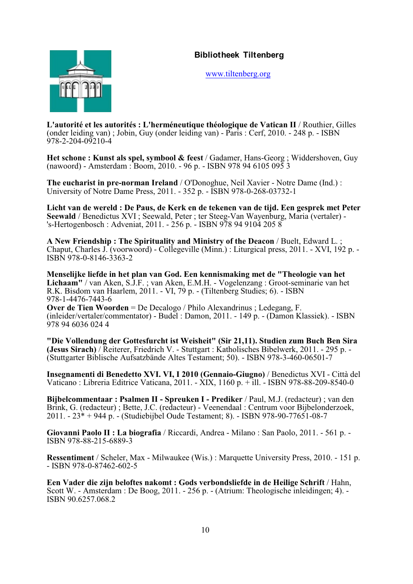

[www.tiltenberg.org](http://www.tiltenberg.org)

**L'autorité et les autorités : L'herméneutique théologique de Vatican II** / Routhier, Gilles (onder leiding van) ; Jobin, Guy (onder leiding van) - Paris : Cerf, 2010. - 248 p. - ISBN 978-2-204-09210-4

**Het schone : Kunst als spel, symbool & feest** / Gadamer, Hans-Georg ; Widdershoven, Guy (nawoord) - Amsterdam : Boom, 2010. - 96 p. - ISBN 978 94 6105 095 3

**The eucharist in pre-norman Ireland** / O'Donoghue, Neil Xavier - Notre Dame (Ind.) : University of Notre Dame Press, 2011. - 352 p. - ISBN 978-0-268-03732-1

**Licht van de wereld : De Paus, de Kerk en de tekenen van de tijd. Een gesprek met Peter Seewald** / Benedictus XVI ; Seewald, Peter ; ter Steeg-Van Wayenburg, Maria (vertaler) - 's-Hertogenbosch : Adveniat, 2011. - 256 p. - ISBN 978 94 9104 205 8

**A New Friendship : The Spirituality and Ministry of the Deacon** / Buelt, Edward L. ; Chaput, Charles J. (voorwoord) - Collegeville (Minn.) : Liturgical press, 2011. - XVI, 192 p. - ISBN 978-0-8146-3363-2

**Menselijke liefde in het plan van God. Een kennismaking met de "Theologie van het Lichaam"** / van Aken, S.J.F. ; van Aken, E.M.H. - Vogelenzang : Groot-seminarie van het R.K. Bisdom van Haarlem, 2011. - VI, 79 p. - (Tiltenberg Studies; 6). - ISBN 978-1-4476-7443-6

**Over de Tien Woorden** = De Decalogo / Philo Alexandrinus ; Ledegang, F. (inleider/vertaler/commentator) - Budel : Damon, 2011. - 149 p. - (Damon Klassiek). - ISBN 978 94 6036 024 4

**"Die Vollendung der Gottesfurcht ist Weisheit" (Sir 21,11). Studien zum Buch Ben Sira (Jesus Sirach)** / Reiterer, Friedrich V. - Stuttgart : Katholisches Bibelwerk, 2011. - 295 p. - (Stuttgarter Biblische Aufsatzbände Altes Testament; 50). - ISBN 978-3-460-06501-7

**Insegnamenti di Benedetto XVI. VI, I 2010 (Gennaio-Giugno)** / Benedictus XVI - Città del Vaticano : Libreria Editrice Vaticana, 2011. - XIX, 1160 p. + ill. - ISBN 978-88-209-8540-0

**Bijbelcommentaar : Psalmen II - Spreuken I - Prediker** / Paul, M.J. (redacteur) ; van den Brink, G. (redacteur) ; Bette, J.C. (redacteur) - Veenendaal : Centrum voor Bijbelonderzoek, 2011. - 23\* + 944 p. - (Studiebijbel Oude Testament; 8). - ISBN 978-90-77651-08-7

**Giovanni Paolo II : La biografia** / Riccardi, Andrea - Milano : San Paolo, 2011. - 561 p. - ISBN 978-88-215-6889-3

**Ressentiment** / Scheler, Max - Milwaukee (Wis.) : Marquette University Press, 2010. - 151 p. - ISBN 978-0-87462-602-5

**Een Vader die zijn beloftes nakomt : Gods verbondsliefde in de Heilige Schrift** / Hahn, Scott W. - Amsterdam : De Boog, 2011. - 256 p. - (Atrium: Theologische inleidingen; 4). - ISBN 90.6257.068.2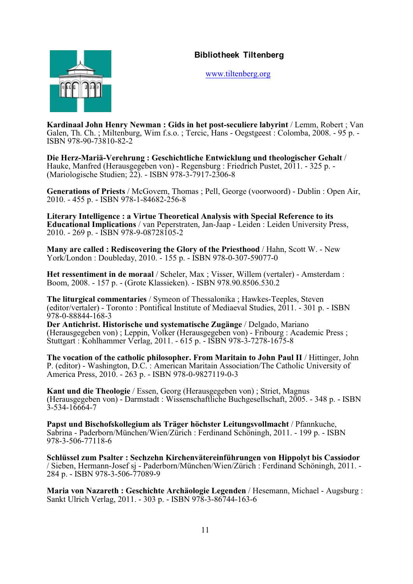

[www.tiltenberg.org](http://www.tiltenberg.org)

**Kardinaal John Henry Newman : Gids in het post-seculiere labyrint** / Lemm, Robert ; Van Galen, Th. Ch. ; Miltenburg, Wim f.s.o. ; Tercic, Hans - Oegstgeest : Colomba, 2008. - 95 p. - ISBN 978-90-73810-82-2

**Die Herz-Mariä-Verehrung : Geschichtliche Entwicklung und theologischer Gehalt** / Hauke, Manfred (Herausgegeben von) - Regensburg : Friedrich Pustet, 2011. - 325 p. - (Mariologische Studien; 22). - ISBN 978-3-7917-2306-8

**Generations of Priests** / McGovern, Thomas ; Pell, George (voorwoord) - Dublin : Open Air, 2010. - 455 p. - ISBN 978-1-84682-256-8

**Literary Intelligence : a Virtue Theoretical Analysis with Special Reference to its Educational Implications** / van Peperstraten, Jan-Jaap - Leiden : Leiden University Press, 2010. - 269 p. - ISBN 978-9-08728105-2

**Many are called : Rediscovering the Glory of the Priesthood** / Hahn, Scott W. - New York/London : Doubleday, 2010. - 155 p. - ISBN 978-0-307-59077-0

**Het ressentiment in de moraal** / Scheler, Max ; Visser, Willem (vertaler) - Amsterdam : Boom, 2008. - 157 p. - (Grote Klassieken). - ISBN 978.90.8506.530.2

**The liturgical commentaries** / Symeon of Thessalonika ; Hawkes-Teeples, Steven (editor/vertaler) - Toronto : Pontifical Institute of Mediaeval Studies, 2011. - 301 p. - ISBN 978-0-88844-168-3

**Der Antichrist. Historische und systematische Zugänge** / Delgado, Mariano (Herausgegeben von) ; Leppin, Volker (Herausgegeben von) - Fribourg : Academic Press ; Stuttgart : Kohlhammer Verlag, 2011. - 615 p. - ISBN 978-3-7278-1675-8

**The vocation of the catholic philosopher. From Maritain to John Paul II** / Hittinger, John P. (editor) - Washington, D.C. : American Maritain Association/The Catholic University of America Press, 2010. - 263 p. - ISBN 978-0-9827119-0-3

**Kant und die Theologie** / Essen, Georg (Herausgegeben von) ; Striet, Magnus (Herausgegeben von) - Darmstadt : Wissenschaftliche Buchgesellschaft, 2005. - 348 p. - ISBN 3-534-16664-7

**Papst und Bischofskollegium als Träger höchster Leitungsvollmacht** / Pfannkuche, Sabrina - Paderborn/München/Wien/Zürich : Ferdinand Schöningh, 2011. - 199 p. - ISBN 978-3-506-77118-6

**Schlüssel zum Psalter : Sechzehn Kirchenvätereinführungen von Hippolyt bis Cassiodor** / Sieben, Hermann-Josef sj - Paderborn/München/Wien/Zürich : Ferdinand Schöningh, 2011. - 284 p. - ISBN 978-3-506-77089-9

**Maria von Nazareth : Geschichte Archäologie Legenden** / Hesemann, Michael - Augsburg : Sankt Ulrich Verlag, 2011. - 303 p. - ISBN 978-3-86744-163-6